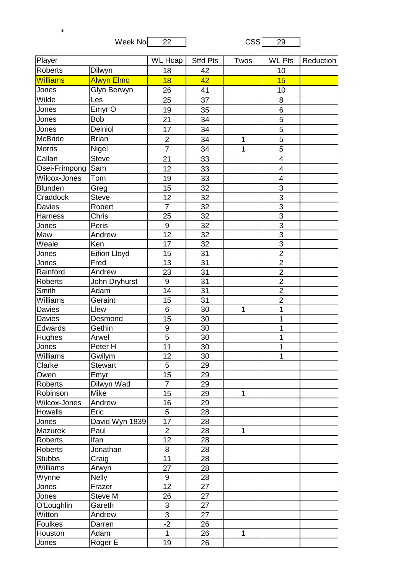Week No 22 CSS 29

\*

| Player          |                     | <b>WL Hcap</b>            | <b>Stfd Pts</b> | Twos         | <b>WL Pts</b>             | Reduction |
|-----------------|---------------------|---------------------------|-----------------|--------------|---------------------------|-----------|
| <b>Roberts</b>  | Dilwyn              | 18                        | 42              |              | 10                        |           |
| <b>Williams</b> | Alwyn Elmo          | 18                        | 42              |              | 15                        |           |
| Jones           | Glyn Berwyn         | 26                        | 41              |              | 10                        |           |
| Wilde           | Les                 | 25                        | 37              |              | 8                         |           |
| Jones           | Emyr <sub>O</sub>   | 19                        | 35              |              | $6\phantom{1}6$           |           |
| Jones           | <b>Bob</b>          | 21                        | 34              |              | 5                         |           |
| Jones           | Deiniol             | 17                        | 34              |              | 5                         |           |
| <b>McBride</b>  | <b>Brian</b>        | $\overline{2}$            | 34              | $\mathbf 1$  | $\overline{5}$            |           |
| <b>Morris</b>   | Nigel               | $\overline{7}$            | 34              | 1            | 5                         |           |
| Callan          | <b>Steve</b>        | 21                        | 33              |              | $\overline{4}$            |           |
| Osei-Frimpong   | Sam                 | 12                        | 33              |              | $\overline{\mathbf{4}}$   |           |
| Wilcox-Jones    | Tom                 | 19                        | 33              |              | $\overline{\mathbf{4}}$   |           |
| <b>Blunden</b>  | Greg                | 15                        | 32              |              | $\overline{3}$            |           |
| Craddock        | <b>Steve</b>        | 12                        | 32              |              | 3                         |           |
| Davies          | Robert              | $\overline{7}$            | 32              |              | $\overline{3}$            |           |
| <b>Harness</b>  | Chris               | 25                        | 32              |              | $\ensuremath{\mathsf{3}}$ |           |
| Jones           | Peris               | $\boldsymbol{9}$          | $\overline{32}$ |              | $\overline{3}$            |           |
| Maw             | Andrew              | 12                        | 32              |              | $\overline{3}$            |           |
| Weale           | Ken                 | 17                        | 32              |              | $\overline{3}$            |           |
| Jones           | <b>Eifion Lloyd</b> | 15                        | $\overline{31}$ |              | $\overline{2}$            |           |
| Jones           | Fred                | 13                        | 31              |              | $\overline{2}$            |           |
| Rainford        | Andrew              | 23                        | 31              |              | $\overline{2}$            |           |
| <b>Roberts</b>  | John Dryhurst       | $9\,$                     | 31              |              | $\overline{2}$            |           |
| <b>Smith</b>    | Adam                | 14                        | 31              |              | $\overline{2}$            |           |
| Williams        | Geraint             | 15                        | 31              |              | $\overline{2}$            |           |
| <b>Davies</b>   | Llew                | 6                         | 30              | 1            | 1                         |           |
| <b>Davies</b>   | Desmond             | 15                        | 30              |              | 1                         |           |
| Edwards         | Gethin              | 9                         | 30              |              | 1                         |           |
| Hughes          | Arwel               | $\overline{5}$            | 30              |              | 1                         |           |
| Jones           | Peter H             | 11                        | 30              |              | 1                         |           |
| Williams        | Gwilym              | 12                        | 30              |              | 1                         |           |
| Clarke          | <b>Stewart</b>      | 5                         | 29              |              |                           |           |
| Owen            | Emyr                | 15                        | 29              |              |                           |           |
| Roberts         | Dilwyn Wad          | $\overline{7}$            | 29              |              |                           |           |
| Robinson        | Mike                | 15                        | 29              | 1            |                           |           |
| Wilcox-Jones    | Andrew              | 16                        | 29              |              |                           |           |
| Howells         | Eric                | 5                         | 28              |              |                           |           |
| Jones           | David Wyn 1839      | 17                        | 28              |              |                           |           |
| Mazurek         | Paul                | $\overline{2}$            | 28              | 1            |                           |           |
| Roberts         | Ifan                | 12                        | 28              |              |                           |           |
| Roberts         | Jonathan            | 8                         | 28              |              |                           |           |
| <b>Stubbs</b>   | Craig               | 11                        | 28              |              |                           |           |
| Williams        | Arwyn               | 27                        | 28              |              |                           |           |
| Wynne           | <b>Nelly</b>        | 9                         | 28              |              |                           |           |
| Jones           | Frazer              | 12                        | 27              |              |                           |           |
| Jones           | Steve M             | 26                        | 27              |              |                           |           |
| O'Loughlin      | Gareth              | 3                         | 27              |              |                           |           |
| Witton          | Andrew              | $\ensuremath{\mathsf{3}}$ | 27              |              |                           |           |
| <b>Foulkes</b>  | Darren              | $-2$                      | 26              |              |                           |           |
| Houston         | Adam                | $\mathbf{1}$              | 26              | $\mathbf{1}$ |                           |           |
| Jones           | Roger E             | 19                        | 26              |              |                           |           |